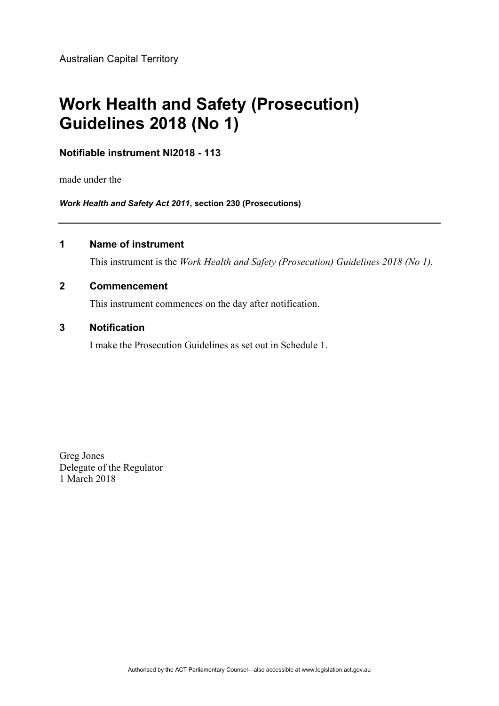# **Work Health and Safety (Prosecution) Guidelines 2018 (No 1)**

# **Notifiable instrument NI2018 - 113**

made under the

*Work Health and Safety Act 2011***, section 230 (Prosecutions)**

# **1 Name of instrument**

This instrument is the *Work Health and Safety (Prosecution) Guidelines 2018 (No 1).*

### **2 Commencement**

This instrument commences on the day after notification.

## **3 Notification**

I make the Prosecution Guidelines as set out in Schedule 1.

Greg Jones Delegate of the Regulator 1 March 2018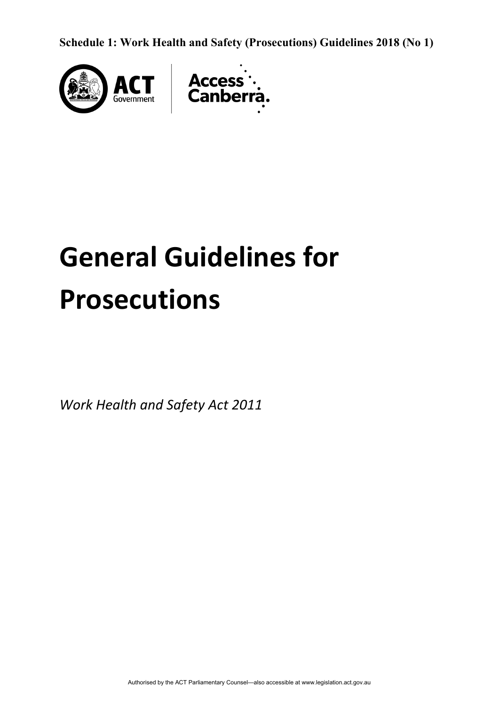**Schedule 1: Work Health and Safety (Prosecutions) Guidelines 2018 (No 1)** 



# **General Guidelines for Prosecutions**

*Work Health and Safety Act 2011*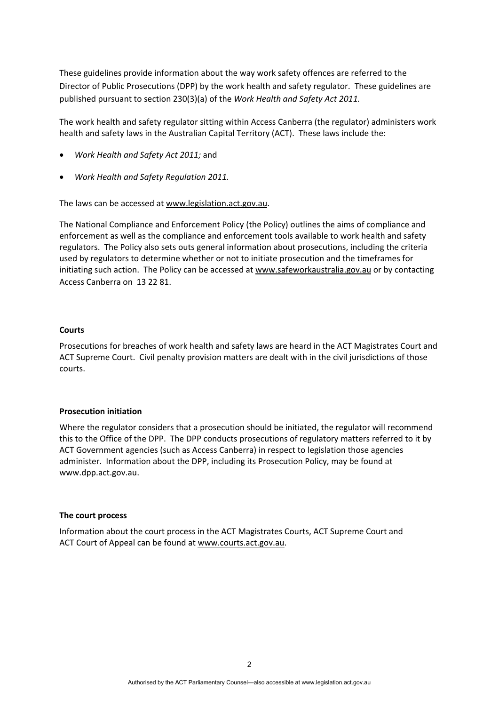These guidelines provide information about the way work safety offences are referred to the Director of Public Prosecutions (DPP) by the work health and safety regulator. These guidelines are published pursuant to section 230(3)(a) of the *Work Health and Safety Act 2011.*

The work health and safety regulator sitting within Access Canberra (the regulator) administers work health and safety laws in the Australian Capital Territory (ACT). These laws include the:

- *Work Health and Safety Act 2011;* and
- *Work Health and Safety Regulation 2011.*

The laws can be accessed at [www.legislation.act.gov.au](http://www.legislation.act.gov.au/).

The National Compliance and Enforcement Policy (the Policy) outlines the aims of compliance and enforcement as well as the compliance and enforcement tools available to work health and safety regulators. The Policy also sets outs general information about prosecutions, including the criteria used by regulators to determine whether or not to initiate prosecution and the timeframes for initiating such action. The Policy can be accessed at [www.safeworkaustralia.gov.au](http://www.safeworkaustralia.gov.au/) or by contacting Access Canberra on 13 22 [81.](tel:132281)

#### **Courts**

Prosecutions for breaches of work health and safety laws are heard in the ACT Magistrates Court and ACT Supreme Court. Civil penalty provision matters are dealt with in the civil jurisdictions of those courts.

#### **Prosecution initiation**

Where the regulator considers that a prosecution should be initiated, the regulator will recommend this to the Office of the DPP. The DPP conducts prosecutions of regulatory matters referred to it by ACT Government agencies (such as Access Canberra) in respect to legislation those agencies administer. Information about the DPP, including its Prosecution Policy, may be found at [www.dpp.act.gov.au](http://www.dpp.act.gov.au/).

#### **The court process**

Information about the court process in the ACT Magistrates Courts, ACT Supreme Court and ACT Court of Appeal can be found at [www.courts.act.gov.au](http://www.courts.act.gov.au/).